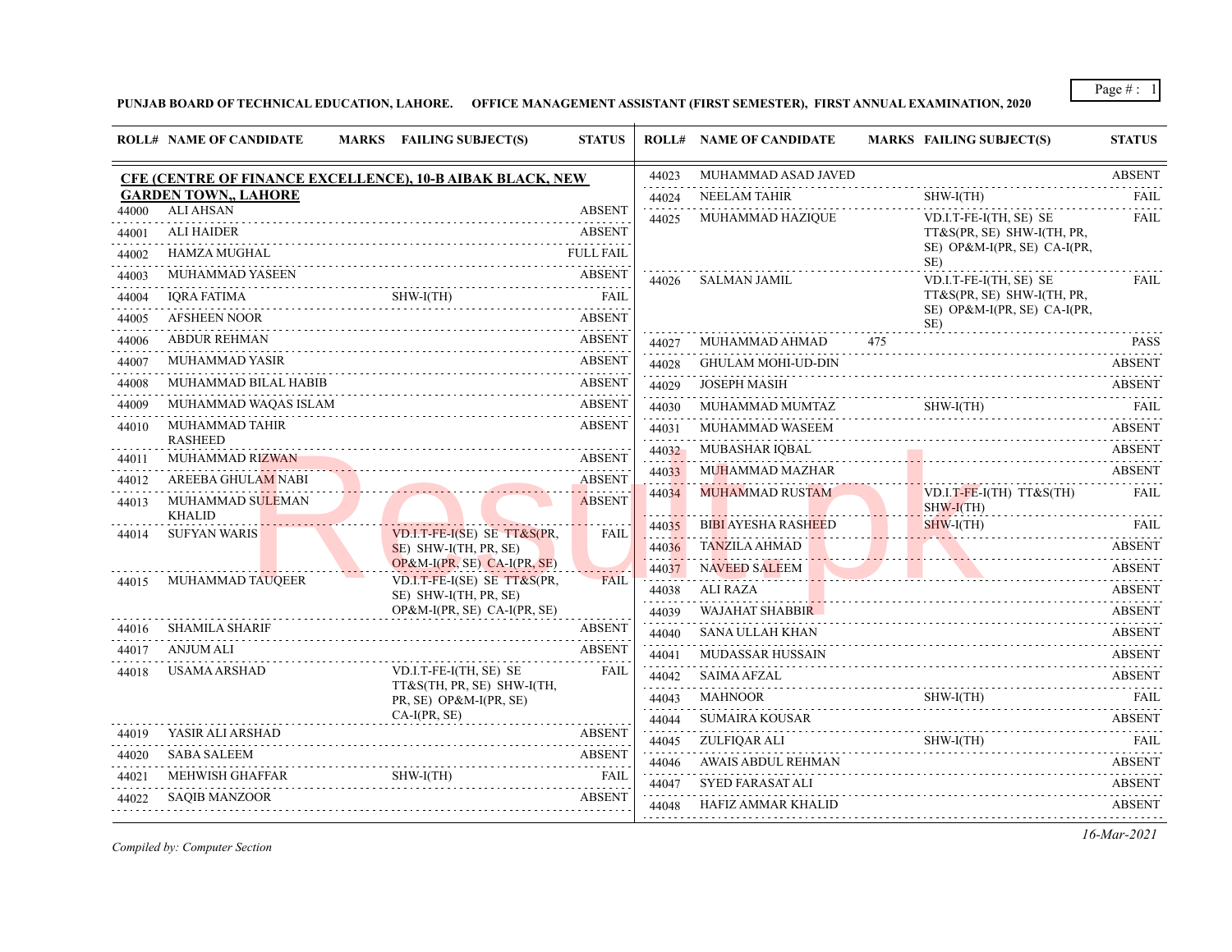Page # : 1

**PUNJAB BOARD OF TECHNICAL EDUCATION, LAHORE. OFFICE MANAGEMENT ASSISTANT (FIRST SEMESTER), FIRST ANNUAL EXAMINATION, 2020**

|       | <b>ROLL# NAME OF CANDIDATE</b>          |   | MARKS FAILING SUBJECT(S)                                                                                        | <b>STATUS</b>                |            | <b>ROLL# NAME OF CANDIDATE</b> |     | <b>MARKS FAILING SUBJECT(S)</b>                           | <b>STATUS</b> |
|-------|-----------------------------------------|---|-----------------------------------------------------------------------------------------------------------------|------------------------------|------------|--------------------------------|-----|-----------------------------------------------------------|---------------|
|       |                                         |   | <b>CFE (CENTRE OF FINANCE EXCELLENCE), 10-B AIBAK BLACK, NEW</b>                                                |                              | 44023      | MUHAMMAD ASAD JAVED            |     |                                                           | <b>ABSENT</b> |
|       | <b>GARDEN TOWN,, LAHORE</b>             |   |                                                                                                                 |                              | 44024      | NEELAM TAHIR                   |     | $SHW-I(TH)$                                               | <b>FAIL</b>   |
| 44000 | <b>ALI AHSAN</b>                        |   |                                                                                                                 | <b>ABSENT</b>                | 44025      | MUHAMMAD HAZIQUE               |     | VD.I.T-FE-I(TH, SE) SE                                    | <b>FAIL</b>   |
| 44001 | <b>ALI HAIDER</b>                       |   |                                                                                                                 | <b>ABSENT</b>                |            |                                |     | TT&S(PR, SE) SHW-I(TH, PR,<br>SE) OP&M-I(PR, SE) CA-I(PR, |               |
| 44002 | <b>HAMZA MUGHAL</b>                     |   |                                                                                                                 | <b>FULL FAIL</b>             |            |                                |     | SE)                                                       |               |
| 44003 | <b>MUHAMMAD YASEEN</b>                  |   |                                                                                                                 | <b>ABSENT</b>                | 44026      | <b>SALMAN JAMIL</b>            |     | VD.I.T-FE-I(TH, SE) SE                                    | <b>FAIL</b>   |
| 44004 | <b>IORA FATIMA</b>                      |   | $SHW-I(TH)$                                                                                                     |                              |            |                                |     | TT&S(PR, SE) SHW-I(TH, PR,<br>SE) OP&M-I(PR, SE) CA-I(PR, |               |
| 44005 | AFSHEEN NOOR                            |   |                                                                                                                 | <b>ABSENT</b>                |            |                                |     | SE)                                                       |               |
| 44006 | <b>ABDUR REHMAN</b>                     |   |                                                                                                                 | <b>ABSENT</b>                | 44027      | MUHAMMAD AHMAD                 | 475 |                                                           | <b>PASS</b>   |
| 44007 | <b>MUHAMMAD YASIR</b>                   |   |                                                                                                                 | <b>ABSENT</b>                | 44028      | <b>GHULAM MOHI-UD-DIN</b>      |     |                                                           | <b>ABSENT</b> |
| 44008 | MUHAMMAD BILAL HABIB                    |   |                                                                                                                 | <b>ABSENT</b>                | 44029      | <b>JOSEPH MASIH</b>            |     |                                                           | <b>ABSENT</b> |
| 44009 | MUHAMMAD WAQAS ISLAM                    |   |                                                                                                                 | <b>ABSENT</b>                | 44030      | MUHAMMAD MUMTAZ                |     | $SHW-I(TH)$                                               | <b>FAIL</b>   |
| 44010 | <b>MUHAMMAD TAHIR</b><br><b>RASHEED</b> |   |                                                                                                                 | <b>ABSENT</b>                | 44031      | MUHAMMAD WASEEM                |     |                                                           | <b>ABSENT</b> |
| 44011 | <b>MUHAMMAD RIZWAN</b>                  |   |                                                                                                                 | <b>ABSENT</b>                | 44032      | MUBASHAR IQBAL                 |     | ADJENT                                                    | <b>ABSENT</b> |
| 44012 | AREEBA GHULAM NABI                      |   | ADJUNTARY 1999 - 1999 - 1999 - 1999 - 1999 - 1999 - 1999 - 1999 - 1999 - 1999 - 1999 - 1999 - 1999 - 1999 - 1   | <b>ABSENT</b>                | 44033      | <b>MUHAMMAD MAZHAR</b>         |     |                                                           | <b>ABSENT</b> |
| 44013 | MUHAMMAD SULEMAN                        |   |                                                                                                                 | 111 111 111<br><b>ABSENT</b> | 44034      | <b>MUHAMMAD RUSTAM</b>         |     | $VD.I.T-FE-I(TH) TT&S(TH)$<br>$SHW-I(TH)$<br>.            | <b>FAIL</b>   |
| 44014 | <b>KHALID</b><br><b>SUFYAN WARIS</b>    |   | VD.I.T-FE-I(SE) SE TT&S(PR,                                                                                     | <b>FAIL</b>                  | 44035      | <b>BIBI AYESHA RASHEED</b>     |     | $SHW-I(TH)$                                               | FAII.         |
|       |                                         |   | SE) SHW-I(TH, PR, SE)                                                                                           |                              | 44036      | <b>TANZILA AHMAD</b>           |     |                                                           | <b>ABSENT</b> |
|       |                                         |   | OP&M-I(PR, SE) CA-I(PR, SE)                                                                                     |                              | 44037      | <b>NAVEED SALEEM</b>           |     |                                                           | <b>ABSENT</b> |
| 44015 | MUHAMMAD TAUQEER                        |   | VD.I.T-FE-I(SE) SE TT&S(PR,<br>SE) SHW-I(TH, PR, SE)                                                            | <b>FAIL</b>                  | 44038      | ALI RAZA                       |     |                                                           | <b>ABSENT</b> |
|       |                                         |   | OP&M-I(PR, SE) CA-I(PR, SE)                                                                                     |                              | 44039      | WAJAHAT SHABBIR                |     |                                                           | <b>ABSENT</b> |
| 44016 | <b>SHAMILA SHARIF</b>                   |   | <u>a sa salah sahiji désa di kacamatan Sababaran Sababaran Sababaran Sababaran Sababaran Sababaran Sababara</u> | <b>ABSENT</b>                | 44040      | <b>SANA ULLAH KHAN</b>         |     |                                                           | <b>ABSENT</b> |
| 44017 | <b>ANJUM ALI</b>                        |   |                                                                                                                 | <b>ABSENT</b>                | 44041      | <b>MUDASSAR HUSSAIN</b>        |     |                                                           | <b>ABSENT</b> |
| 44018 | <b>USAMA ARSHAD</b>                     |   | VD.I.T-FE-I(TH, SE) SE                                                                                          | <b>FAIL</b>                  | 44042      | SAIMA AFZAL                    |     |                                                           | <b>ABSENT</b> |
|       |                                         |   | TT&S(TH, PR, SE) SHW-I(TH,<br>PR, SE) OP&M-I(PR, SE)                                                            |                              | .<br>44043 | <b>MAHNOOR</b>                 |     | $SHW-I(TH)$                                               | <b>FAIL</b>   |
|       |                                         | . | $CA-I(PR, SE)$                                                                                                  |                              | 44044      | <b>SUMAIRA KOUSAR</b>          |     |                                                           | <b>ABSENT</b> |
| 44019 | YASIR ALI ARSHAD                        |   |                                                                                                                 | <b>ABSENT</b>                | 44045      | ZULFIQAR ALI                   |     | $SHW-I(TH)$                                               | FAIL          |
| 44020 | <b>SABA SALEEM</b>                      |   |                                                                                                                 | <b>ABSENT</b>                | 44046      | <b>AWAIS ABDUL REHMAN</b>      |     |                                                           | <b>ABSENT</b> |
| 44021 | <b>MEHWISH GHAFFAR</b>                  |   | SHW-I(TH)                                                                                                       | <b>FAIL</b>                  | 44047      | <b>SYED FARASAT ALI</b>        |     |                                                           | <b>ABSENT</b> |
| 44022 | <b>SAOIB MANZOOR</b>                    |   |                                                                                                                 | <b>ABSENT</b>                | 44048      | HAFIZ AMMAR KHALID             |     |                                                           | <b>ABSENT</b> |
|       |                                         |   |                                                                                                                 |                              |            |                                |     |                                                           |               |

*Compiled by: Computer Section*

*16-Mar-2021*